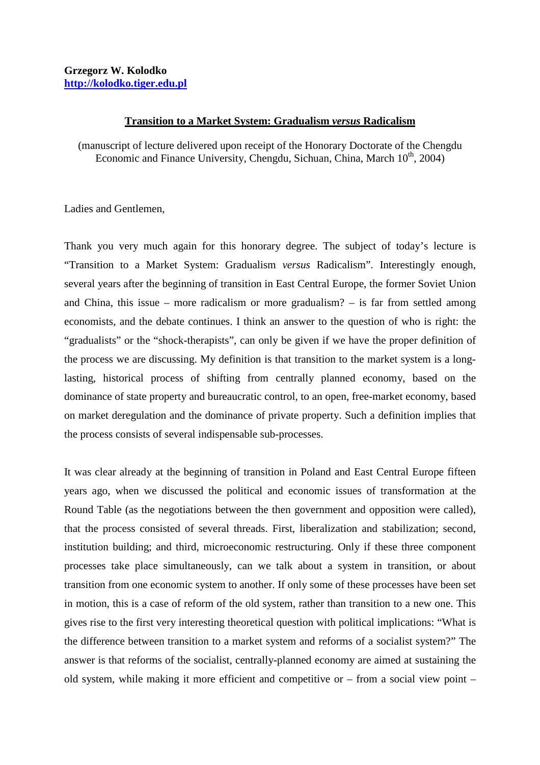## **Transition to a Market System: Gradualism** *versus* **Radicalism**

(manuscript of lecture delivered upon receipt of the Honorary Doctorate of the Chengdu Economic and Finance University, Chengdu, Sichuan, China, March 10<sup>th</sup>, 2004)

Ladies and Gentlemen,

Thank you very much again for this honorary degree. The subject of today's lecture is "Transition to a Market System: Gradualism *versus* Radicalism". Interestingly enough, several years after the beginning of transition in East Central Europe, the former Soviet Union and China, this issue – more radicalism or more gradualism? – is far from settled among economists, and the debate continues. I think an answer to the question of who is right: the "gradualists" or the "shock-therapists", can only be given if we have the proper definition of the process we are discussing. My definition is that transition to the market system is a longlasting, historical process of shifting from centrally planned economy, based on the dominance of state property and bureaucratic control, to an open, free-market economy, based on market deregulation and the dominance of private property. Such a definition implies that the process consists of several indispensable sub-processes.

It was clear already at the beginning of transition in Poland and East Central Europe fifteen years ago, when we discussed the political and economic issues of transformation at the Round Table (as the negotiations between the then government and opposition were called), that the process consisted of several threads. First, liberalization and stabilization; second, institution building; and third, microeconomic restructuring. Only if these three component processes take place simultaneously, can we talk about a system in transition, or about transition from one economic system to another. If only some of these processes have been set in motion, this is a case of reform of the old system, rather than transition to a new one. This gives rise to the first very interesting theoretical question with political implications: "What is the difference between transition to a market system and reforms of a socialist system?" The answer is that reforms of the socialist, centrally-planned economy are aimed at sustaining the old system, while making it more efficient and competitive or – from a social view point –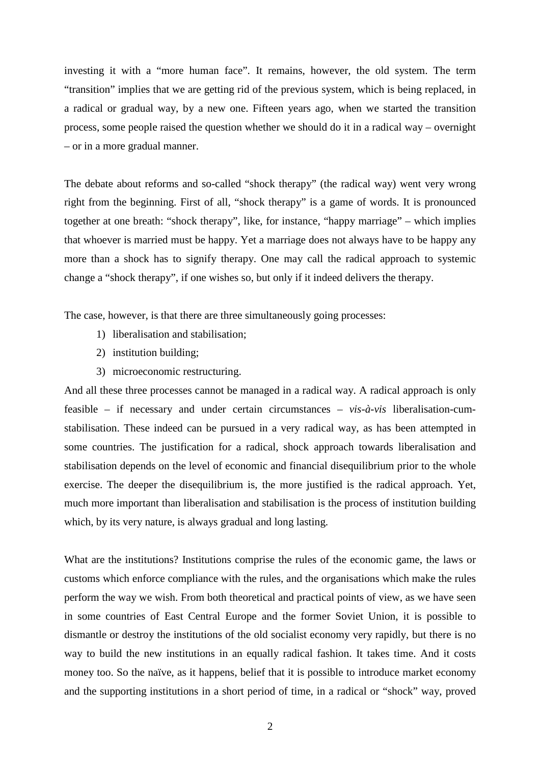investing it with a "more human face". It remains, however, the old system. The term "transition" implies that we are getting rid of the previous system, which is being replaced, in a radical or gradual way, by a new one. Fifteen years ago, when we started the transition process, some people raised the question whether we should do it in a radical way – overnight – or in a more gradual manner.

The debate about reforms and so-called "shock therapy" (the radical way) went very wrong right from the beginning. First of all, "shock therapy" is a game of words. It is pronounced together at one breath: "shock therapy", like, for instance, "happy marriage" – which implies that whoever is married must be happy. Yet a marriage does not always have to be happy any more than a shock has to signify therapy. One may call the radical approach to systemic change a "shock therapy", if one wishes so, but only if it indeed delivers the therapy.

The case, however, is that there are three simultaneously going processes:

- 1) liberalisation and stabilisation;
- 2) institution building;
- 3) microeconomic restructuring.

And all these three processes cannot be managed in a radical way. A radical approach is only feasible – if necessary and under certain circumstances – *vis-à-vis* liberalisation-cumstabilisation. These indeed can be pursued in a very radical way, as has been attempted in some countries. The justification for a radical, shock approach towards liberalisation and stabilisation depends on the level of economic and financial disequilibrium prior to the whole exercise. The deeper the disequilibrium is, the more justified is the radical approach. Yet, much more important than liberalisation and stabilisation is the process of institution building which, by its very nature, is always gradual and long lasting.

What are the institutions? Institutions comprise the rules of the economic game, the laws or customs which enforce compliance with the rules, and the organisations which make the rules perform the way we wish. From both theoretical and practical points of view, as we have seen in some countries of East Central Europe and the former Soviet Union, it is possible to dismantle or destroy the institutions of the old socialist economy very rapidly, but there is no way to build the new institutions in an equally radical fashion. It takes time. And it costs money too. So the naïve, as it happens, belief that it is possible to introduce market economy and the supporting institutions in a short period of time, in a radical or "shock" way, proved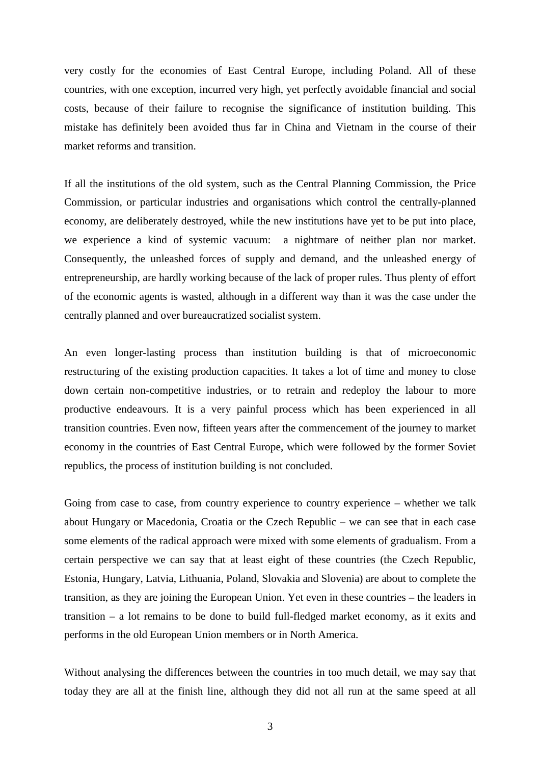very costly for the economies of East Central Europe, including Poland. All of these countries, with one exception, incurred very high, yet perfectly avoidable financial and social costs, because of their failure to recognise the significance of institution building. This mistake has definitely been avoided thus far in China and Vietnam in the course of their market reforms and transition.

If all the institutions of the old system, such as the Central Planning Commission, the Price Commission, or particular industries and organisations which control the centrally-planned economy, are deliberately destroyed, while the new institutions have yet to be put into place, we experience a kind of systemic vacuum: a nightmare of neither plan nor market. Consequently, the unleashed forces of supply and demand, and the unleashed energy of entrepreneurship, are hardly working because of the lack of proper rules. Thus plenty of effort of the economic agents is wasted, although in a different way than it was the case under the centrally planned and over bureaucratized socialist system.

An even longer-lasting process than institution building is that of microeconomic restructuring of the existing production capacities. It takes a lot of time and money to close down certain non-competitive industries, or to retrain and redeploy the labour to more productive endeavours. It is a very painful process which has been experienced in all transition countries. Even now, fifteen years after the commencement of the journey to market economy in the countries of East Central Europe, which were followed by the former Soviet republics, the process of institution building is not concluded.

Going from case to case, from country experience to country experience – whether we talk about Hungary or Macedonia, Croatia or the Czech Republic – we can see that in each case some elements of the radical approach were mixed with some elements of gradualism. From a certain perspective we can say that at least eight of these countries (the Czech Republic, Estonia, Hungary, Latvia, Lithuania, Poland, Slovakia and Slovenia) are about to complete the transition, as they are joining the European Union. Yet even in these countries – the leaders in transition – a lot remains to be done to build full-fledged market economy, as it exits and performs in the old European Union members or in North America.

Without analysing the differences between the countries in too much detail, we may say that today they are all at the finish line, although they did not all run at the same speed at all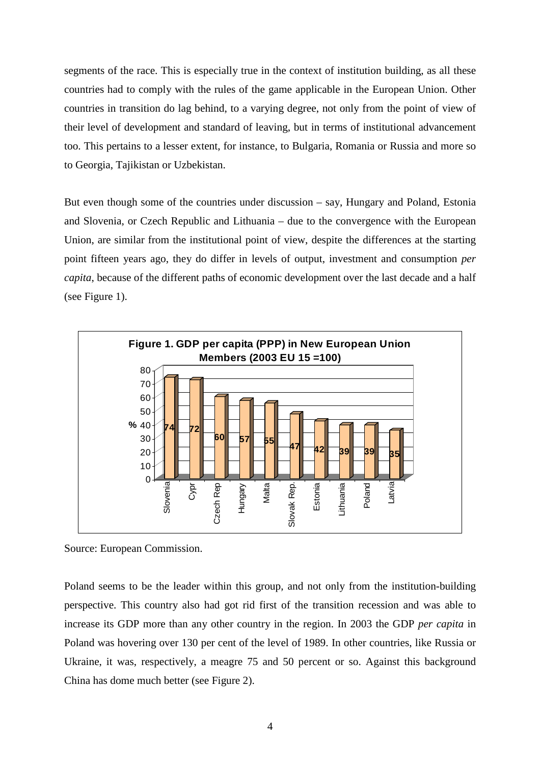segments of the race. This is especially true in the context of institution building, as all these countries had to comply with the rules of the game applicable in the European Union. Other countries in transition do lag behind, to a varying degree, not only from the point of view of their level of development and standard of leaving, but in terms of institutional advancement too. This pertains to a lesser extent, for instance, to Bulgaria, Romania or Russia and more so to Georgia, Tajikistan or Uzbekistan.

But even though some of the countries under discussion – say, Hungary and Poland, Estonia and Slovenia, or Czech Republic and Lithuania – due to the convergence with the European Union, are similar from the institutional point of view, despite the differences at the starting point fifteen years ago, they do differ in levels of output, investment and consumption *per capita*, because of the different paths of economic development over the last decade and a half (see Figure 1).



Source: European Commission.

Poland seems to be the leader within this group, and not only from the institution-building perspective. This country also had got rid first of the transition recession and was able to increase its GDP more than any other country in the region. In 2003 the GDP *per capita* in Poland was hovering over 130 per cent of the level of 1989. In other countries, like Russia or Ukraine, it was, respectively, a meagre 75 and 50 percent or so. Against this background China has dome much better (see Figure 2).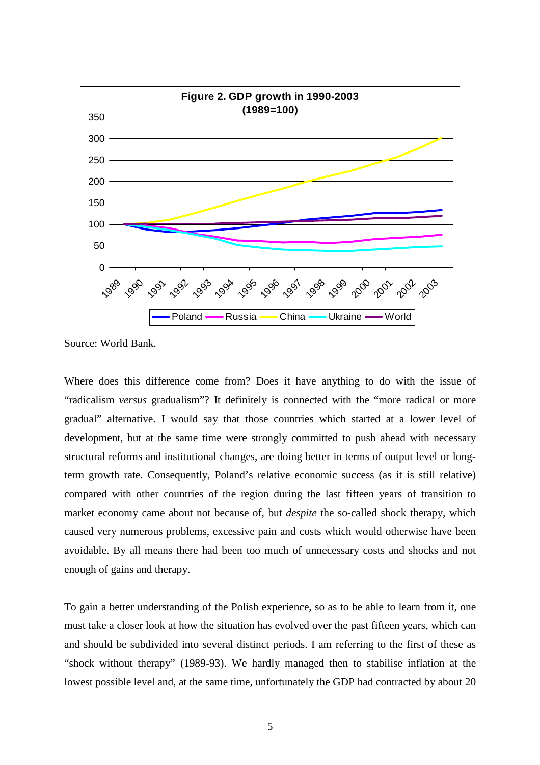

Source: World Bank.

Where does this difference come from? Does it have anything to do with the issue of "radicalism *versus* gradualism"? It definitely is connected with the "more radical or more gradual" alternative. I would say that those countries which started at a lower level of development, but at the same time were strongly committed to push ahead with necessary structural reforms and institutional changes, are doing better in terms of output level or longterm growth rate. Consequently, Poland's relative economic success (as it is still relative) compared with other countries of the region during the last fifteen years of transition to market economy came about not because of, but *despite* the so-called shock therapy, which caused very numerous problems, excessive pain and costs which would otherwise have been avoidable. By all means there had been too much of unnecessary costs and shocks and not enough of gains and therapy.

To gain a better understanding of the Polish experience, so as to be able to learn from it, one must take a closer look at how the situation has evolved over the past fifteen years, which can and should be subdivided into several distinct periods. I am referring to the first of these as "shock without therapy" (1989-93). We hardly managed then to stabilise inflation at the lowest possible level and, at the same time, unfortunately the GDP had contracted by about 20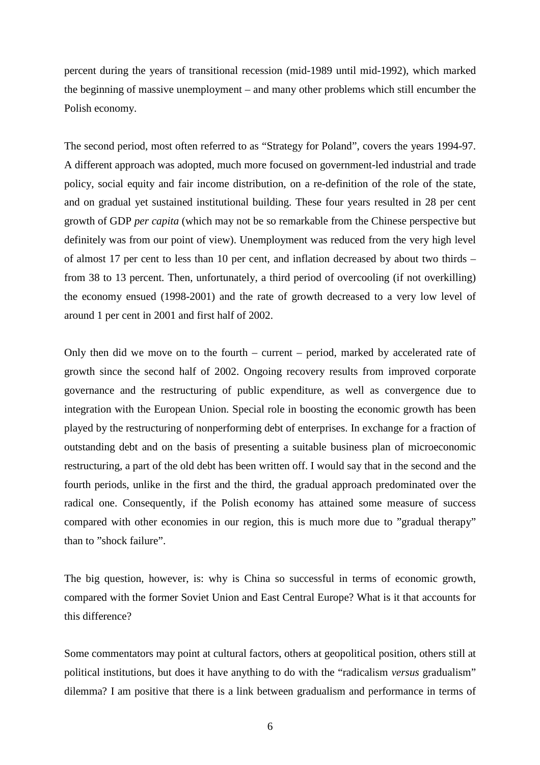percent during the years of transitional recession (mid-1989 until mid-1992), which marked the beginning of massive unemployment – and many other problems which still encumber the Polish economy.

The second period, most often referred to as "Strategy for Poland", covers the years 1994-97. A different approach was adopted, much more focused on government-led industrial and trade policy, social equity and fair income distribution, on a re-definition of the role of the state, and on gradual yet sustained institutional building. These four years resulted in 28 per cent growth of GDP *per capita* (which may not be so remarkable from the Chinese perspective but definitely was from our point of view). Unemployment was reduced from the very high level of almost 17 per cent to less than 10 per cent, and inflation decreased by about two thirds – from 38 to 13 percent. Then, unfortunately, a third period of overcooling (if not overkilling) the economy ensued (1998-2001) and the rate of growth decreased to a very low level of around 1 per cent in 2001 and first half of 2002.

Only then did we move on to the fourth – current – period, marked by accelerated rate of growth since the second half of 2002. Ongoing recovery results from improved corporate governance and the restructuring of public expenditure, as well as convergence due to integration with the European Union. Special role in boosting the economic growth has been played by the restructuring of nonperforming debt of enterprises. In exchange for a fraction of outstanding debt and on the basis of presenting a suitable business plan of microeconomic restructuring, a part of the old debt has been written off. I would say that in the second and the fourth periods, unlike in the first and the third, the gradual approach predominated over the radical one. Consequently, if the Polish economy has attained some measure of success compared with other economies in our region, this is much more due to "gradual therapy" than to "shock failure".

The big question, however, is: why is China so successful in terms of economic growth, compared with the former Soviet Union and East Central Europe? What is it that accounts for this difference?

Some commentators may point at cultural factors, others at geopolitical position, others still at political institutions, but does it have anything to do with the "radicalism *versus* gradualism" dilemma? I am positive that there is a link between gradualism and performance in terms of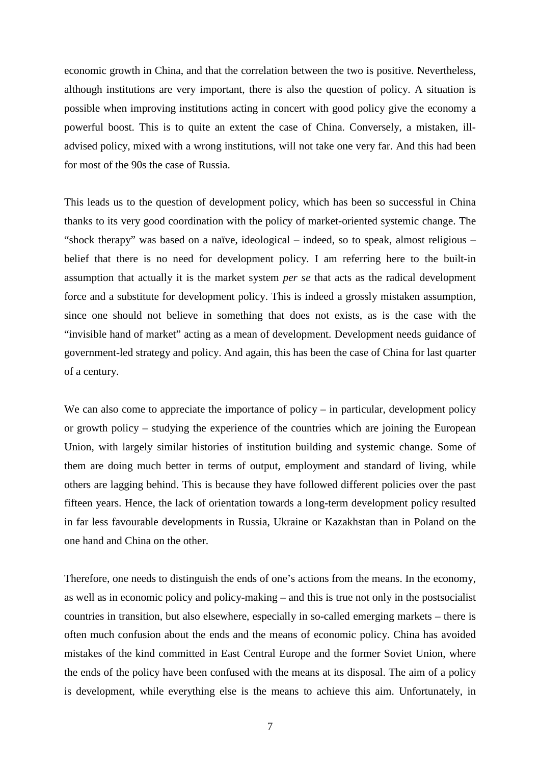economic growth in China, and that the correlation between the two is positive. Nevertheless, although institutions are very important, there is also the question of policy. A situation is possible when improving institutions acting in concert with good policy give the economy a powerful boost. This is to quite an extent the case of China. Conversely, a mistaken, illadvised policy, mixed with a wrong institutions, will not take one very far. And this had been for most of the 90s the case of Russia.

This leads us to the question of development policy, which has been so successful in China thanks to its very good coordination with the policy of market-oriented systemic change. The "shock therapy" was based on a naïve, ideological – indeed, so to speak, almost religious – belief that there is no need for development policy. I am referring here to the built-in assumption that actually it is the market system *per se* that acts as the radical development force and a substitute for development policy. This is indeed a grossly mistaken assumption, since one should not believe in something that does not exists, as is the case with the "invisible hand of market" acting as a mean of development. Development needs guidance of government-led strategy and policy. And again, this has been the case of China for last quarter of a century.

We can also come to appreciate the importance of policy – in particular, development policy or growth policy – studying the experience of the countries which are joining the European Union, with largely similar histories of institution building and systemic change. Some of them are doing much better in terms of output, employment and standard of living, while others are lagging behind. This is because they have followed different policies over the past fifteen years. Hence, the lack of orientation towards a long-term development policy resulted in far less favourable developments in Russia, Ukraine or Kazakhstan than in Poland on the one hand and China on the other.

Therefore, one needs to distinguish the ends of one's actions from the means. In the economy, as well as in economic policy and policy-making – and this is true not only in the postsocialist countries in transition, but also elsewhere, especially in so-called emerging markets – there is often much confusion about the ends and the means of economic policy. China has avoided mistakes of the kind committed in East Central Europe and the former Soviet Union, where the ends of the policy have been confused with the means at its disposal. The aim of a policy is development, while everything else is the means to achieve this aim. Unfortunately, in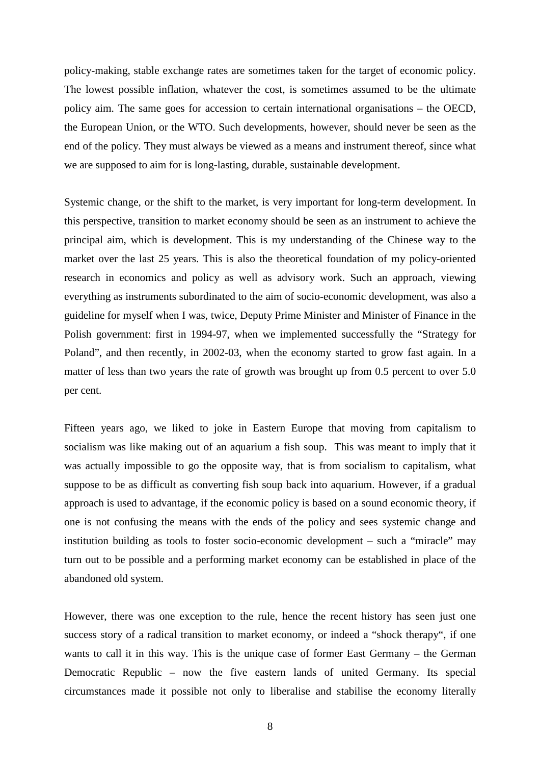policy-making, stable exchange rates are sometimes taken for the target of economic policy. The lowest possible inflation, whatever the cost, is sometimes assumed to be the ultimate policy aim. The same goes for accession to certain international organisations – the OECD, the European Union, or the WTO. Such developments, however, should never be seen as the end of the policy. They must always be viewed as a means and instrument thereof, since what we are supposed to aim for is long-lasting, durable, sustainable development.

Systemic change, or the shift to the market, is very important for long-term development. In this perspective, transition to market economy should be seen as an instrument to achieve the principal aim, which is development. This is my understanding of the Chinese way to the market over the last 25 years. This is also the theoretical foundation of my policy-oriented research in economics and policy as well as advisory work. Such an approach, viewing everything as instruments subordinated to the aim of socio-economic development, was also a guideline for myself when I was, twice, Deputy Prime Minister and Minister of Finance in the Polish government: first in 1994-97, when we implemented successfully the "Strategy for Poland", and then recently, in 2002-03, when the economy started to grow fast again. In a matter of less than two years the rate of growth was brought up from 0.5 percent to over 5.0 per cent.

Fifteen years ago, we liked to joke in Eastern Europe that moving from capitalism to socialism was like making out of an aquarium a fish soup. This was meant to imply that it was actually impossible to go the opposite way, that is from socialism to capitalism, what suppose to be as difficult as converting fish soup back into aquarium. However, if a gradual approach is used to advantage, if the economic policy is based on a sound economic theory, if one is not confusing the means with the ends of the policy and sees systemic change and institution building as tools to foster socio-economic development – such a "miracle" may turn out to be possible and a performing market economy can be established in place of the abandoned old system.

However, there was one exception to the rule, hence the recent history has seen just one success story of a radical transition to market economy, or indeed a "shock therapy", if one wants to call it in this way. This is the unique case of former East Germany – the German Democratic Republic – now the five eastern lands of united Germany. Its special circumstances made it possible not only to liberalise and stabilise the economy literally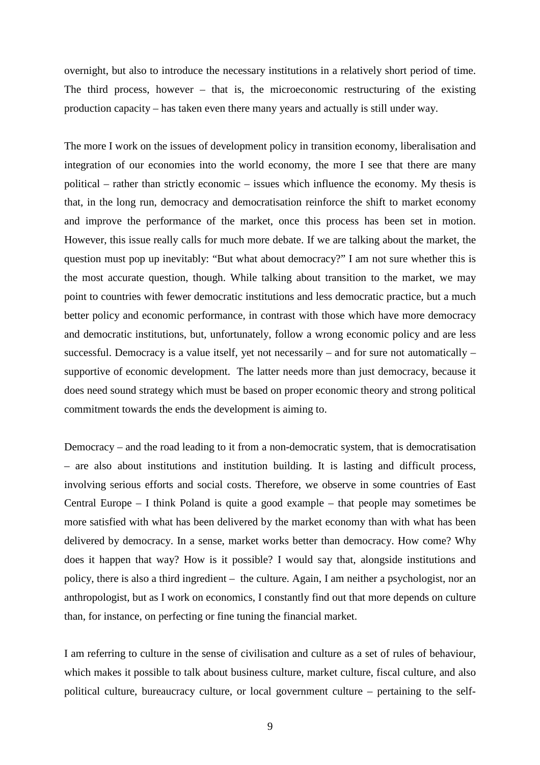overnight, but also to introduce the necessary institutions in a relatively short period of time. The third process, however – that is, the microeconomic restructuring of the existing production capacity – has taken even there many years and actually is still under way.

The more I work on the issues of development policy in transition economy, liberalisation and integration of our economies into the world economy, the more I see that there are many political – rather than strictly economic – issues which influence the economy. My thesis is that, in the long run, democracy and democratisation reinforce the shift to market economy and improve the performance of the market, once this process has been set in motion. However, this issue really calls for much more debate. If we are talking about the market, the question must pop up inevitably: "But what about democracy?" I am not sure whether this is the most accurate question, though. While talking about transition to the market, we may point to countries with fewer democratic institutions and less democratic practice, but a much better policy and economic performance, in contrast with those which have more democracy and democratic institutions, but, unfortunately, follow a wrong economic policy and are less successful. Democracy is a value itself, yet not necessarily – and for sure not automatically – supportive of economic development. The latter needs more than just democracy, because it does need sound strategy which must be based on proper economic theory and strong political commitment towards the ends the development is aiming to.

Democracy – and the road leading to it from a non-democratic system, that is democratisation – are also about institutions and institution building. It is lasting and difficult process, involving serious efforts and social costs. Therefore, we observe in some countries of East Central Europe – I think Poland is quite a good example – that people may sometimes be more satisfied with what has been delivered by the market economy than with what has been delivered by democracy. In a sense, market works better than democracy. How come? Why does it happen that way? How is it possible? I would say that, alongside institutions and policy, there is also a third ingredient – the culture. Again, I am neither a psychologist, nor an anthropologist, but as I work on economics, I constantly find out that more depends on culture than, for instance, on perfecting or fine tuning the financial market.

I am referring to culture in the sense of civilisation and culture as a set of rules of behaviour, which makes it possible to talk about business culture, market culture, fiscal culture, and also political culture, bureaucracy culture, or local government culture – pertaining to the self-